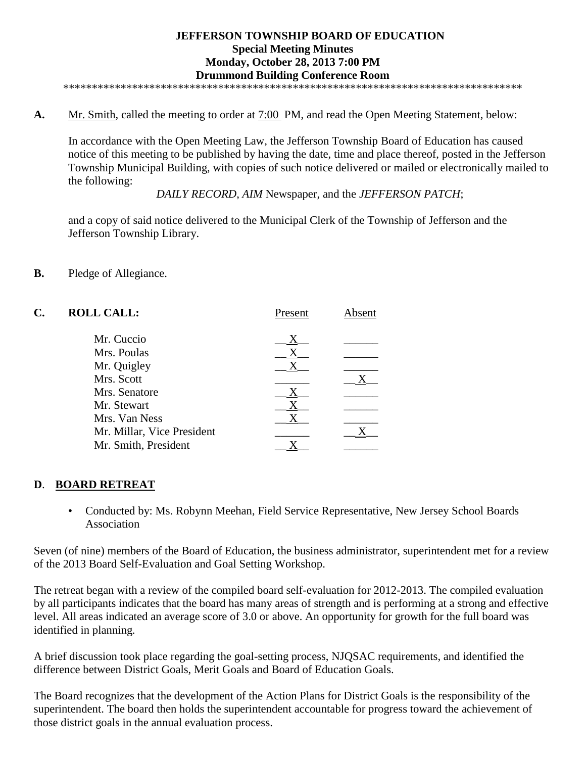**A.** Mr. Smith, called the meeting to order at 7:00 PM, and read the Open Meeting Statement, below:

In accordance with the Open Meeting Law, the Jefferson Township Board of Education has caused notice of this meeting to be published by having the date, time and place thereof, posted in the Jefferson Township Municipal Building, with copies of such notice delivered or mailed or electronically mailed to the following:

*DAILY RECORD*, *AIM* Newspaper, and the *JEFFERSON PATCH*;

and a copy of said notice delivered to the Municipal Clerk of the Township of Jefferson and the Jefferson Township Library.

**B.** Pledge of Allegiance.

| C. | <b>ROLL CALL:</b>          | Present | Absent |
|----|----------------------------|---------|--------|
|    | Mr. Cuccio                 | Х       |        |
|    | Mrs. Poulas                | X       |        |
|    | Mr. Quigley                | Χ       |        |
|    | Mrs. Scott                 |         |        |
|    | Mrs. Senatore              | X       |        |
|    | Mr. Stewart                | X       |        |
|    | Mrs. Van Ness              | X       |        |
|    | Mr. Millar, Vice President |         |        |
|    | Mr. Smith, President       |         |        |

# **D**. **BOARD RETREAT**

• Conducted by: Ms. Robynn Meehan, Field Service Representative, New Jersey School Boards Association

Seven (of nine) members of the Board of Education, the business administrator, superintendent met for a review of the 2013 Board Self-Evaluation and Goal Setting Workshop.

The retreat began with a review of the compiled board self-evaluation for 2012-2013. The compiled evaluation by all participants indicates that the board has many areas of strength and is performing at a strong and effective level. All areas indicated an average score of 3.0 or above. An opportunity for growth for the full board was identified in planning*.*

A brief discussion took place regarding the goal-setting process, NJQSAC requirements, and identified the difference between District Goals, Merit Goals and Board of Education Goals.

The Board recognizes that the development of the Action Plans for District Goals is the responsibility of the superintendent. The board then holds the superintendent accountable for progress toward the achievement of those district goals in the annual evaluation process.